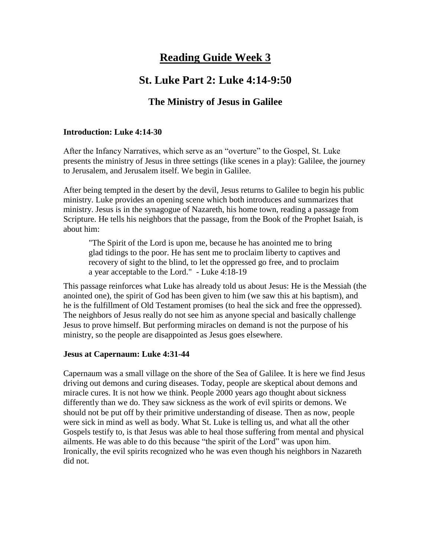# **Reading Guide Week 3**

## **St. Luke Part 2: Luke 4:14-9:50**

### **The Ministry of Jesus in Galilee**

#### **Introduction: Luke 4:14-30**

After the Infancy Narratives, which serve as an "overture" to the Gospel, St. Luke presents the ministry of Jesus in three settings (like scenes in a play): Galilee, the journey to Jerusalem, and Jerusalem itself. We begin in Galilee.

After being tempted in the desert by the devil, Jesus returns to Galilee to begin his public ministry. Luke provides an opening scene which both introduces and summarizes that ministry. Jesus is in the synagogue of Nazareth, his home town, reading a passage from Scripture. He tells his neighbors that the passage, from the Book of the Prophet Isaiah, is about him:

"The Spirit of the Lord is upon me, because he has anointed me to bring glad tidings to the poor. He has sent me to proclaim liberty to captives and recovery of sight to the blind, to let the oppressed go free, and to proclaim a year acceptable to the Lord." - Luke 4:18-19

This passage reinforces what Luke has already told us about Jesus: He is the Messiah (the anointed one), the spirit of God has been given to him (we saw this at his baptism), and he is the fulfillment of Old Testament promises (to heal the sick and free the oppressed). The neighbors of Jesus really do not see him as anyone special and basically challenge Jesus to prove himself. But performing miracles on demand is not the purpose of his ministry, so the people are disappointed as Jesus goes elsewhere.

#### **Jesus at Capernaum: Luke 4:31-44**

Capernaum was a small village on the shore of the Sea of Galilee. It is here we find Jesus driving out demons and curing diseases. Today, people are skeptical about demons and miracle cures. It is not how we think. People 2000 years ago thought about sickness differently than we do. They saw sickness as the work of evil spirits or demons. We should not be put off by their primitive understanding of disease. Then as now, people were sick in mind as well as body. What St. Luke is telling us, and what all the other Gospels testify to, is that Jesus was able to heal those suffering from mental and physical ailments. He was able to do this because "the spirit of the Lord" was upon him. Ironically, the evil spirits recognized who he was even though his neighbors in Nazareth did not.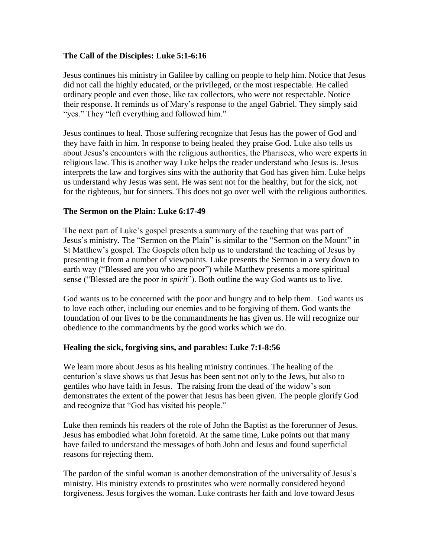#### **The Call of the Disciples: Luke 5:1-6:16**

Jesus continues his ministry in Galilee by calling on people to help him. Notice that Jesus did not call the highly educated, or the privileged, or the most respectable. He called ordinary people and even those, like tax collectors, who were not respectable. Notice their response. It reminds us of Mary's response to the angel Gabriel. They simply said "yes." They "left everything and followed him."

Jesus continues to heal. Those suffering recognize that Jesus has the power of God and they have faith in him. In response to being healed they praise God. Luke also tells us about Jesus's encounters with the religious authorities, the Pharisees, who were experts in religious law. This is another way Luke helps the reader understand who Jesus is. Jesus interprets the law and forgives sins with the authority that God has given him. Luke helps us understand why Jesus was sent. He was sent not for the healthy, but for the sick, not for the righteous, but for sinners. This does not go over well with the religious authorities.

#### **The Sermon on the Plain: Luke 6:17-49**

The next part of Luke's gospel presents a summary of the teaching that was part of Jesus's ministry. The "Sermon on the Plain" is similar to the "Sermon on the Mount" in St Matthew's gospel. The Gospels often help us to understand the teaching of Jesus by presenting it from a number of viewpoints. Luke presents the Sermon in a very down to earth way ("Blessed are you who are poor") while Matthew presents a more spiritual sense ("Blessed are the poor *in spirit*"). Both outline the way God wants us to live.

God wants us to be concerned with the poor and hungry and to help them. God wants us to love each other, including our enemies and to be forgiving of them. God wants the foundation of our lives to be the commandments he has given us. He will recognize our obedience to the commandments by the good works which we do.

#### **Healing the sick, forgiving sins, and parables: Luke 7:1-8:56**

We learn more about Jesus as his healing ministry continues. The healing of the centurion's slave shows us that Jesus has been sent not only to the Jews, but also to gentiles who have faith in Jesus. The raising from the dead of the widow's son demonstrates the extent of the power that Jesus has been given. The people glorify God and recognize that "God has visited his people."

Luke then reminds his readers of the role of John the Baptist as the forerunner of Jesus. Jesus has embodied what John foretold. At the same time, Luke points out that many have failed to understand the messages of both John and Jesus and found superficial reasons for rejecting them.

The pardon of the sinful woman is another demonstration of the universality of Jesus's ministry. His ministry extends to prostitutes who were normally considered beyond forgiveness. Jesus forgives the woman. Luke contrasts her faith and love toward Jesus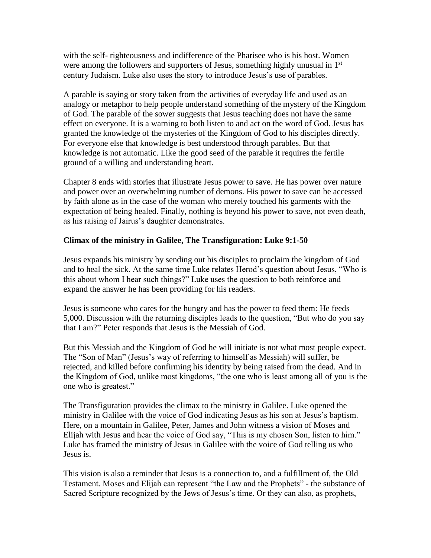with the self- righteousness and indifference of the Pharisee who is his host. Women were among the followers and supporters of Jesus, something highly unusual in 1<sup>st</sup> century Judaism. Luke also uses the story to introduce Jesus's use of parables.

A parable is saying or story taken from the activities of everyday life and used as an analogy or metaphor to help people understand something of the mystery of the Kingdom of God. The parable of the sower suggests that Jesus teaching does not have the same effect on everyone. It is a warning to both listen to and act on the word of God. Jesus has granted the knowledge of the mysteries of the Kingdom of God to his disciples directly. For everyone else that knowledge is best understood through parables. But that knowledge is not automatic. Like the good seed of the parable it requires the fertile ground of a willing and understanding heart.

Chapter 8 ends with stories that illustrate Jesus power to save. He has power over nature and power over an overwhelming number of demons. His power to save can be accessed by faith alone as in the case of the woman who merely touched his garments with the expectation of being healed. Finally, nothing is beyond his power to save, not even death, as his raising of Jairus's daughter demonstrates.

#### **Climax of the ministry in Galilee, The Transfiguration: Luke 9:1-50**

Jesus expands his ministry by sending out his disciples to proclaim the kingdom of God and to heal the sick. At the same time Luke relates Herod's question about Jesus, "Who is this about whom I hear such things?" Luke uses the question to both reinforce and expand the answer he has been providing for his readers.

Jesus is someone who cares for the hungry and has the power to feed them: He feeds 5,000. Discussion with the returning disciples leads to the question, "But who do you say that I am?" Peter responds that Jesus is the Messiah of God.

But this Messiah and the Kingdom of God he will initiate is not what most people expect. The "Son of Man" (Jesus's way of referring to himself as Messiah) will suffer, be rejected, and killed before confirming his identity by being raised from the dead. And in the Kingdom of God, unlike most kingdoms, "the one who is least among all of you is the one who is greatest."

The Transfiguration provides the climax to the ministry in Galilee. Luke opened the ministry in Galilee with the voice of God indicating Jesus as his son at Jesus's baptism. Here, on a mountain in Galilee, Peter, James and John witness a vision of Moses and Elijah with Jesus and hear the voice of God say, "This is my chosen Son, listen to him." Luke has framed the ministry of Jesus in Galilee with the voice of God telling us who Jesus is.

This vision is also a reminder that Jesus is a connection to, and a fulfillment of, the Old Testament. Moses and Elijah can represent "the Law and the Prophets" - the substance of Sacred Scripture recognized by the Jews of Jesus's time. Or they can also, as prophets,